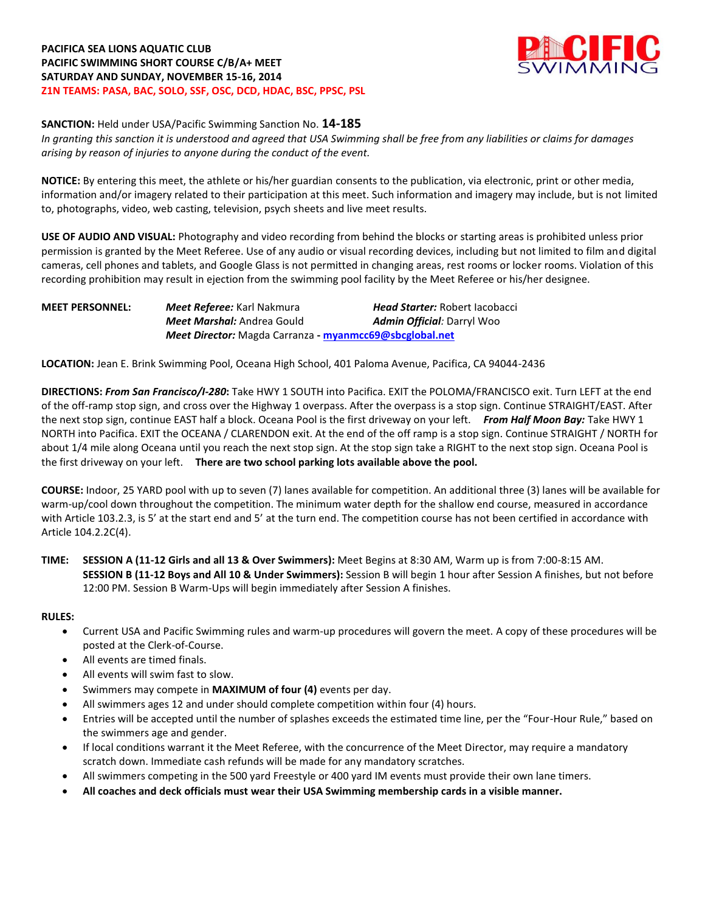## **PACIFICA SEA LIONS AQUATIC CLUB PACIFIC SWIMMING SHORT COURSE C/B/A+ MEET SATURDAY AND SUNDAY, NOVEMBER 15-16, 2014 Z1N TEAMS: PASA, BAC, SOLO, SSF, OSC, DCD, HDAC, BSC, PPSC, PSL**



# **SANCTION:** Held under USA/Pacific Swimming Sanction No. **14-185**

*In granting this sanction it is understood and agreed that USA Swimming shall be free from any liabilities or claims for damages arising by reason of injuries to anyone during the conduct of the event.* 

**NOTICE:** By entering this meet, the athlete or his/her guardian consents to the publication, via electronic, print or other media, information and/or imagery related to their participation at this meet. Such information and imagery may include, but is not limited to, photographs, video, web casting, television, psych sheets and live meet results.

**USE OF AUDIO AND VISUAL:** Photography and video recording from behind the blocks or starting areas is prohibited unless prior permission is granted by the Meet Referee. Use of any audio or visual recording devices, including but not limited to film and digital cameras, cell phones and tablets, and Google Glass is not permitted in changing areas, rest rooms or locker rooms. Violation of this recording prohibition may result in ejection from the swimming pool facility by the Meet Referee or his/her designee.

| <b>MEET PERSONNEL:</b> | <b>Meet Referee:</b> Karl Nakmura                              | <b>Head Starter: Robert Jacobacci</b> |  |  |  |  |
|------------------------|----------------------------------------------------------------|---------------------------------------|--|--|--|--|
|                        | <b>Meet Marshal:</b> Andrea Gould                              | <b>Admin Official: Darryl Woo</b>     |  |  |  |  |
|                        | <b>Meet Director:</b> Magda Carranza - myanmcc69@sbcglobal.net |                                       |  |  |  |  |

**LOCATION:** Jean E. Brink Swimming Pool, Oceana High School, 401 Paloma Avenue, Pacifica, CA 94044-2436

**DIRECTIONS:** *From San Francisco/I-280***:** Take HWY 1 SOUTH into Pacifica. EXIT the POLOMA/FRANCISCO exit. Turn LEFT at the end of the off-ramp stop sign, and cross over the Highway 1 overpass. After the overpass is a stop sign. Continue STRAIGHT/EAST. After the next stop sign, continue EAST half a block. Oceana Pool is the first driveway on your left. *From Half Moon Bay:* Take HWY 1 NORTH into Pacifica. EXIT the OCEANA / CLARENDON exit. At the end of the off ramp is a stop sign. Continue STRAIGHT / NORTH for about 1/4 mile along Oceana until you reach the next stop sign. At the stop sign take a RIGHT to the next stop sign. Oceana Pool is the first driveway on your left. **There are two school parking lots available above the pool.**

**COURSE:** Indoor, 25 YARD pool with up to seven (7) lanes available for competition. An additional three (3) lanes will be available for warm-up/cool down throughout the competition. The minimum water depth for the shallow end course, measured in accordance with Article 103.2.3, is 5' at the start end and 5' at the turn end. The competition course has not been certified in accordance with Article 104.2.2C(4).

**TIME: SESSION A (11-12 Girls and all 13 & Over Swimmers):** Meet Begins at 8:30 AM, Warm up is from 7:00-8:15 AM. **SESSION B (11-12 Boys and All 10 & Under Swimmers):** Session B will begin 1 hour after Session A finishes, but not before 12:00 PM. Session B Warm-Ups will begin immediately after Session A finishes.

## **RULES:**

- Current USA and Pacific Swimming rules and warm-up procedures will govern the meet. A copy of these procedures will be posted at the Clerk-of-Course.
- All events are timed finals.
- All events will swim fast to slow.
- Swimmers may compete in **MAXIMUM of four (4)** events per day.
- All swimmers ages 12 and under should complete competition within four (4) hours.
- Entries will be accepted until the number of splashes exceeds the estimated time line, per the "Four-Hour Rule," based on the swimmers age and gender.
- If local conditions warrant it the Meet Referee, with the concurrence of the Meet Director, may require a mandatory scratch down. Immediate cash refunds will be made for any mandatory scratches.
- All swimmers competing in the 500 yard Freestyle or 400 yard IM events must provide their own lane timers.
- **All coaches and deck officials must wear their USA Swimming membership cards in a visible manner.**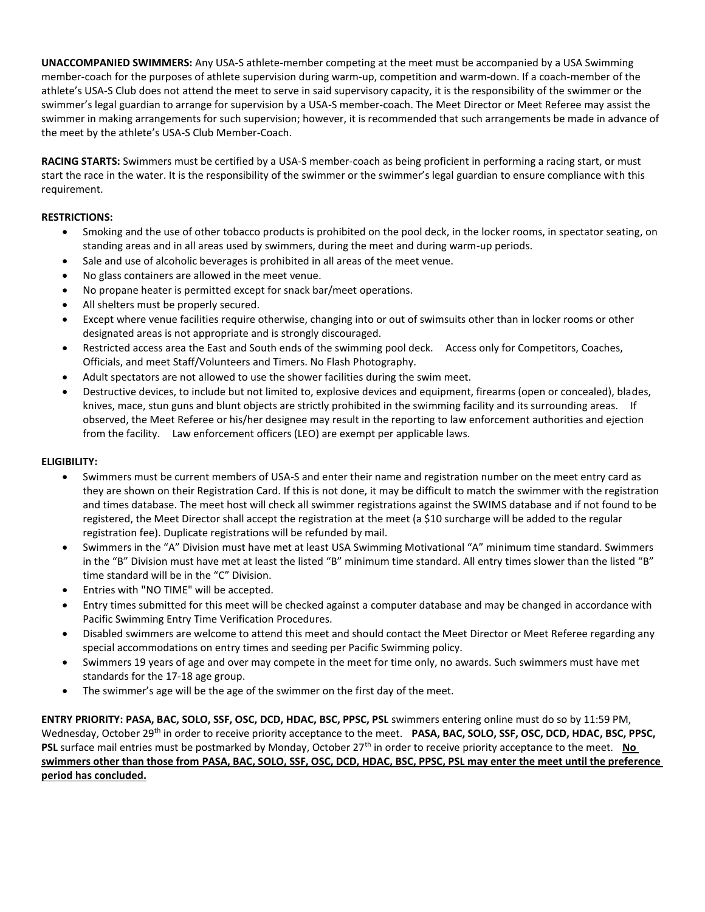**UNACCOMPANIED SWIMMERS:** Any USA-S athlete-member competing at the meet must be accompanied by a USA Swimming member-coach for the purposes of athlete supervision during warm-up, competition and warm-down. If a coach-member of the athlete's USA-S Club does not attend the meet to serve in said supervisory capacity, it is the responsibility of the swimmer or the swimmer's legal guardian to arrange for supervision by a USA-S member-coach. The Meet Director or Meet Referee may assist the swimmer in making arrangements for such supervision; however, it is recommended that such arrangements be made in advance of the meet by the athlete's USA-S Club Member-Coach.

**RACING STARTS:** Swimmers must be certified by a USA-S member-coach as being proficient in performing a racing start, or must start the race in the water. It is the responsibility of the swimmer or the swimmer's legal guardian to ensure compliance with this requirement.

## **RESTRICTIONS:**

- Smoking and the use of other tobacco products is prohibited on the pool deck, in the locker rooms, in spectator seating, on standing areas and in all areas used by swimmers, during the meet and during warm-up periods.
- Sale and use of alcoholic beverages is prohibited in all areas of the meet venue.
- No glass containers are allowed in the meet venue.
- No propane heater is permitted except for snack bar/meet operations.
- All shelters must be properly secured.
- Except where venue facilities require otherwise, changing into or out of swimsuits other than in locker rooms or other designated areas is not appropriate and is strongly discouraged.
- Restricted access area the East and South ends of the swimming pool deck. Access only for Competitors, Coaches, Officials, and meet Staff/Volunteers and Timers. No Flash Photography.
- Adult spectators are not allowed to use the shower facilities during the swim meet.
- Destructive devices, to include but not limited to, explosive devices and equipment, firearms (open or concealed), blades, knives, mace, stun guns and blunt objects are strictly prohibited in the swimming facility and its surrounding areas. If observed, the Meet Referee or his/her designee may result in the reporting to law enforcement authorities and ejection from the facility. Law enforcement officers (LEO) are exempt per applicable laws.

## **ELIGIBILITY:**

- Swimmers must be current members of USA-S and enter their name and registration number on the meet entry card as they are shown on their Registration Card. If this is not done, it may be difficult to match the swimmer with the registration and times database. The meet host will check all swimmer registrations against the SWIMS database and if not found to be registered, the Meet Director shall accept the registration at the meet (a \$10 surcharge will be added to the regular registration fee). Duplicate registrations will be refunded by mail.
- Swimmers in the "A" Division must have met at least USA Swimming Motivational "A" minimum time standard. Swimmers in the "B" Division must have met at least the listed "B" minimum time standard. All entry times slower than the listed "B" time standard will be in the "C" Division.
- Entries with **"**NO TIME" will be accepted.
- Entry times submitted for this meet will be checked against a computer database and may be changed in accordance with Pacific Swimming Entry Time Verification Procedures.
- Disabled swimmers are welcome to attend this meet and should contact the Meet Director or Meet Referee regarding any special accommodations on entry times and seeding per Pacific Swimming policy.
- Swimmers 19 years of age and over may compete in the meet for time only, no awards. Such swimmers must have met standards for the 17-18 age group.
- The swimmer's age will be the age of the swimmer on the first day of the meet.

**ENTRY PRIORITY: PASA, BAC, SOLO, SSF, OSC, DCD, HDAC, BSC, PPSC, PSL** swimmers entering online must do so by 11:59 PM, Wednesday, October 29th in order to receive priority acceptance to the meet. **PASA, BAC, SOLO, SSF, OSC, DCD, HDAC, BSC, PPSC,**  PSL surface mail entries must be postmarked by Monday, October 27<sup>th</sup> in order to receive priority acceptance to the meet. No **swimmers other than those from PASA, BAC, SOLO, SSF, OSC, DCD, HDAC, BSC, PPSC, PSL may enter the meet until the preference period has concluded.**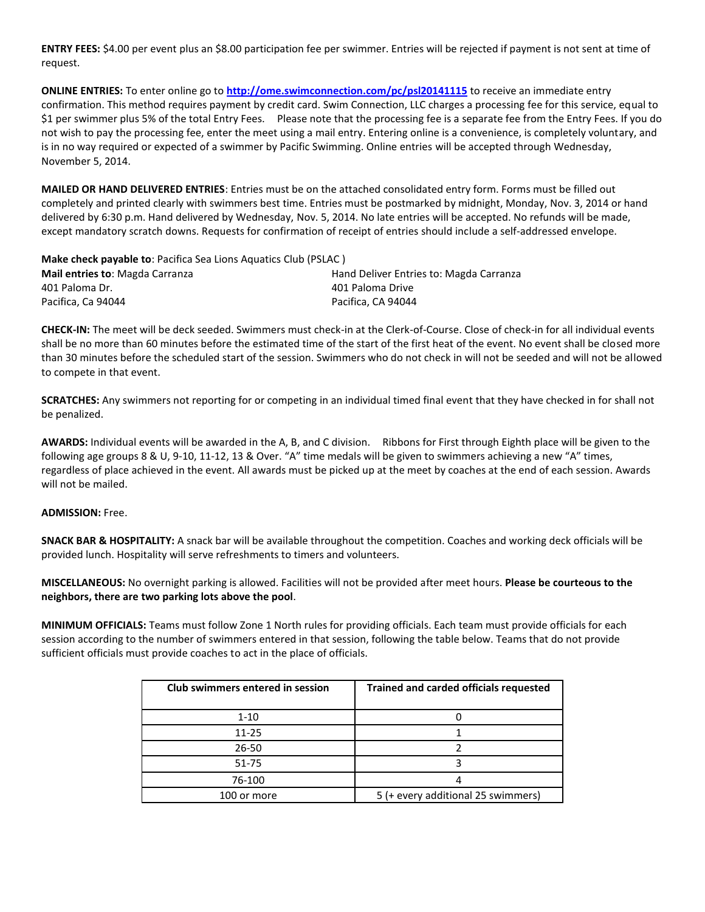**ENTRY FEES:** \$4.00 per event plus an \$8.00 participation fee per swimmer. Entries will be rejected if payment is not sent at time of request.

**ONLINE ENTRIES:** To enter online go to **http://ome.swimconnection.com/pc/psl20141115** to receive an immediate entry confirmation. This method requires payment by credit card. Swim Connection, LLC charges a processing fee for this service, equal to \$1 per swimmer plus 5% of the total Entry Fees. Please note that the processing fee is a separate fee from the Entry Fees. If you do not wish to pay the processing fee, enter the meet using a mail entry. Entering online is a convenience, is completely voluntary, and is in no way required or expected of a swimmer by Pacific Swimming. Online entries will be accepted through Wednesday, November 5, 2014.

**MAILED OR HAND DELIVERED ENTRIES**: Entries must be on the attached consolidated entry form. Forms must be filled out completely and printed clearly with swimmers best time. Entries must be postmarked by midnight, Monday, Nov. 3, 2014 or hand delivered by 6:30 p.m. Hand delivered by Wednesday, Nov. 5, 2014. No late entries will be accepted. No refunds will be made, except mandatory scratch downs. Requests for confirmation of receipt of entries should include a self-addressed envelope.

| <b>Make check payable to: Pacifica Sea Lions Aquatics Club (PSLAC)</b>            |                    |  |  |  |  |  |  |
|-----------------------------------------------------------------------------------|--------------------|--|--|--|--|--|--|
| Hand Deliver Entries to: Magda Carranza<br><b>Mail entries to: Magda Carranza</b> |                    |  |  |  |  |  |  |
| 401 Paloma Dr.                                                                    | 401 Paloma Drive   |  |  |  |  |  |  |
| Pacifica. Ca 94044                                                                | Pacifica. CA 94044 |  |  |  |  |  |  |

**CHECK-IN:** The meet will be deck seeded. Swimmers must check-in at the Clerk-of-Course. Close of check-in for all individual events shall be no more than 60 minutes before the estimated time of the start of the first heat of the event. No event shall be closed more than 30 minutes before the scheduled start of the session. Swimmers who do not check in will not be seeded and will not be allowed to compete in that event.

**SCRATCHES:** Any swimmers not reporting for or competing in an individual timed final event that they have checked in for shall not be penalized.

**AWARDS:** Individual events will be awarded in the A, B, and C division. Ribbons for First through Eighth place will be given to the following age groups 8 & U, 9-10, 11-12, 13 & Over. "A" time medals will be given to swimmers achieving a new "A" times, regardless of place achieved in the event. All awards must be picked up at the meet by coaches at the end of each session. Awards will not be mailed.

## **ADMISSION:** Free.

**SNACK BAR & HOSPITALITY:** A snack bar will be available throughout the competition. Coaches and working deck officials will be provided lunch. Hospitality will serve refreshments to timers and volunteers.

**MISCELLANEOUS:** No overnight parking is allowed. Facilities will not be provided after meet hours. **Please be courteous to the neighbors, there are two parking lots above the pool**.

**MINIMUM OFFICIALS:** Teams must follow Zone 1 North rules for providing officials. Each team must provide officials for each session according to the number of swimmers entered in that session, following the table below. Teams that do not provide sufficient officials must provide coaches to act in the place of officials.

| Club swimmers entered in session | <b>Trained and carded officials requested</b> |  |  |  |  |
|----------------------------------|-----------------------------------------------|--|--|--|--|
| $1 - 10$                         |                                               |  |  |  |  |
| $11 - 25$                        |                                               |  |  |  |  |
| 26-50                            |                                               |  |  |  |  |
| 51-75                            |                                               |  |  |  |  |
| 76-100                           |                                               |  |  |  |  |
| 100 or more                      | 5 (+ every additional 25 swimmers)            |  |  |  |  |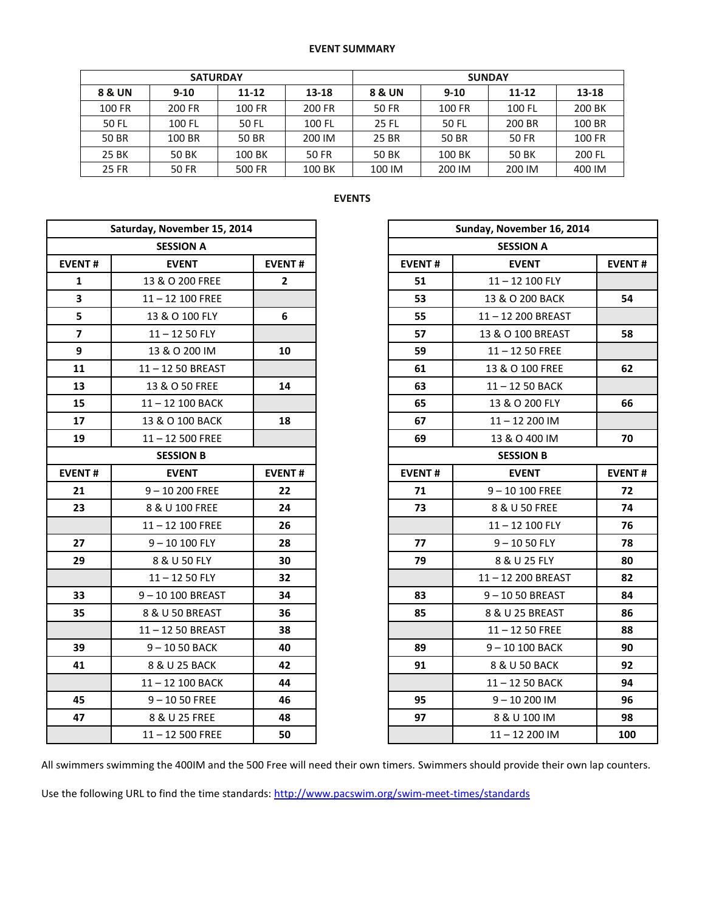#### **EVENT SUMMARY**

|              | <b>SATURDAY</b> |           |           | <b>SUNDAY</b> |        |           |        |  |
|--------------|-----------------|-----------|-----------|---------------|--------|-----------|--------|--|
| 8 & UN       | $9 - 10$        | $11 - 12$ | $13 - 18$ | 8 & UN        | $9-10$ | $11 - 12$ | 13-18  |  |
| 100 FR       | 200 FR          | 100 FR    | 200 FR    | 50 FR         | 100 FR | 100 FL    | 200 BK |  |
| 50 FL        | 100 FL          | 50 FL     | 100 FL    | 25 FL         | 50 FL  | 200 BR    | 100 BR |  |
| 50 BR        | 100 BR          | 50 BR     | 200 IM    | 25 BR         | 50 BR  | 50 FR     | 100 FR |  |
| 25 BK        | 50 BK           | 100 BK    | 50 FR     | 50 BK         | 100 BK | 50 BK     | 200 FL |  |
| <b>25 FR</b> | <b>50 FR</b>    | 500 FR    | 100 BK    | 100 IM        | 200 IM | 200 IM    | 400 IM |  |

| Saturday, November 15, 2014 |                   |                | Sunday, November 16, 2014 |                   |               |  |  |
|-----------------------------|-------------------|----------------|---------------------------|-------------------|---------------|--|--|
|                             | <b>SESSION A</b>  |                |                           | <b>SESSION A</b>  |               |  |  |
| <b>EVENT#</b>               | <b>EVENT</b>      | <b>EVENT#</b>  | <b>EVENT#</b>             | <b>EVENT</b>      | <b>EVENT#</b> |  |  |
| $\mathbf{1}$                | 13 & O 200 FREE   | $\overline{2}$ | 51                        | $11 - 12$ 100 FLY |               |  |  |
| $\overline{\mathbf{3}}$     | 11-12 100 FREE    |                | 53                        | 13 & O 200 BACK   | 54            |  |  |
| 5                           | 13 & O 100 FLY    | 6              | 55                        | 11-12 200 BREAST  |               |  |  |
| $\overline{\mathbf{z}}$     | $11 - 1250$ FLY   |                | 57                        | 13 & O 100 BREAST | 58            |  |  |
| 9                           | 13 & O 200 IM     | 10             | 59                        | $11 - 1250$ FREE  |               |  |  |
| 11                          | 11-12 50 BREAST   |                | 61                        | 13 & O 100 FREE   | 62            |  |  |
| 13                          | 13 & O 50 FREE    | 14             | 63                        | 11-12 50 BACK     |               |  |  |
| 15                          | 11-12 100 BACK    |                | 65                        | 13 & O 200 FLY    | 66            |  |  |
| 17                          | 13 & O 100 BACK   | 18             | 67                        | $11 - 12200$ IM   |               |  |  |
| 19                          | $11 - 12500$ FREE |                | 69                        | 13 & O 400 IM     | 70            |  |  |
|                             | <b>SESSION B</b>  |                |                           | <b>SESSION B</b>  |               |  |  |
| <b>EVENT#</b>               | <b>EVENT</b>      | <b>EVENT#</b>  | <b>EVENT#</b>             | <b>EVENT</b>      | <b>EVENT#</b> |  |  |
| 21                          | $9 - 10200$ FREE  | 22             | 71                        | $9 - 10100$ FREE  | 72            |  |  |
| 23                          | 8 & U 100 FREE    | 24             | 73                        | 8 & U 50 FREE     | 74            |  |  |
|                             | 11-12 100 FREE    | 26             |                           | 11-12 100 FLY     | 76            |  |  |
| 27                          | $9 - 10100$ FLY   | 28             | 77                        | $9 - 1050$ FLY    | 78            |  |  |
| 29                          | 8 & U 50 FLY      | 30             | 79                        | 8 & U 25 FLY      | 80            |  |  |
|                             | $11 - 1250$ FLY   | 32             |                           | 11-12 200 BREAST  | 82            |  |  |
| 33                          | 9-10 100 BREAST   | 34             | 83                        | 9-1050 BREAST     | 84            |  |  |
| 35                          | 8 & U 50 BREAST   | 36             | 85                        | 8 & U 25 BREAST   | 86            |  |  |
|                             | 11-12 50 BREAST   | 38             |                           | $11 - 1250$ FREE  | 88            |  |  |
| 39                          | $9 - 1050$ BACK   | 40             | 89                        | 9-10 100 BACK     | 90            |  |  |
| 41                          | 8 & U 25 BACK     | 42             | 91                        | 8 & U 50 BACK     | 92            |  |  |
|                             | 11-12 100 BACK    | 44             |                           | 11-12 50 BACK     | 94            |  |  |
| 45                          | $9 - 1050$ FREE   | 46             | 95                        | $9 - 10200$ IM    | 96            |  |  |
| 47                          | 8 & U 25 FREE     | 48             | 97                        | 8 & U 100 IM      | 98            |  |  |
|                             | $11 - 12500$ FREE | 50             |                           | $11 - 12200$ IM   | 100           |  |  |

| lay, November 15, 2014 |               |                  |                  | Sunday, November 16, 2014 |               |  |
|------------------------|---------------|------------------|------------------|---------------------------|---------------|--|
| <b>SESSION A</b>       |               | <b>SESSION A</b> |                  |                           |               |  |
| <b>EVENT</b>           | <b>EVENT#</b> |                  | <b>EVENT#</b>    | <b>EVENT</b>              | <b>EVENT#</b> |  |
| 13 & O 200 FREE        | $\mathbf{2}$  |                  | 51               | $11 - 12$ 100 FLY         |               |  |
| $11 - 12$ 100 FREE     |               |                  | 53               | 13 & O 200 BACK           | 54            |  |
| 13 & O 100 FLY         | 6             |                  | 55               | 11-12 200 BREAST          |               |  |
| $11 - 1250$ FLY        |               |                  | 57               | 13 & O 100 BREAST         | 58            |  |
| 13 & O 200 IM          | 10            |                  | 59               | $11 - 1250$ FREE          |               |  |
| 11-12 50 BREAST        |               |                  | 61               | 13 & O 100 FREE           | 62            |  |
| 13 & O 50 FREE         | 14            |                  | 63               | $11 - 1250$ BACK          |               |  |
| 11-12 100 BACK         |               |                  | 65               | 13 & O 200 FLY            | 66            |  |
| 13 & O 100 BACK        | 18            |                  | 67               | $11 - 12200$ IM           |               |  |
| $11 - 12500$ FREE      |               |                  | 69               | 13 & O 400 IM             | 70            |  |
| <b>SESSION B</b>       |               |                  | <b>SESSION B</b> |                           |               |  |
| <b>EVENT</b>           | <b>EVENT#</b> |                  | <b>EVENT#</b>    | <b>EVENT</b>              | <b>EVENT#</b> |  |
| $9 - 10200$ FREE       | 22            |                  | 71               | $9 - 10100$ FREE          | 72            |  |
| 8 & U 100 FREE         | 24            |                  | 73               | 8 & U 50 FREE             | 74            |  |
| $11 - 12$ 100 FREE     | 26            |                  |                  | 11-12 100 FLY             | 76            |  |
| $9 - 10100$ FLY        | 28            |                  | 77               | $9 - 1050$ FLY            | 78            |  |
| 8 & U 50 FLY           | 30            |                  | 79               | 8 & U 25 FLY              | 80            |  |
| $11 - 1250$ FLY        | 32            |                  |                  | 11-12 200 BREAST          | 82            |  |
| 9-10 100 BREAST        | 34            |                  | 83               | 9-1050 BREAST             | 84            |  |
| 8 & U 50 BREAST        | 36            |                  | 85               | 8 & U 25 BREAST           | 86            |  |
| 11 – 12 50 BREAST      | 38            |                  |                  | $11 - 1250$ FREE          | 88            |  |
| $9 - 1050$ BACK        | 40            |                  | 89               | $9 - 10100$ BACK          | 90            |  |
| 8 & U 25 BACK          | 42            |                  | 91               | 8 & U 50 BACK             | 92            |  |
| 11-12 100 BACK         | 44            |                  |                  | 11-12 50 BACK             | 94            |  |
| $9 - 1050$ FREE        | 46            |                  | 95               | $9 - 10200$ IM            | 96            |  |
| 8 & U 25 FREE          | 48            |                  | 97               | 8 & U 100 IM              | 98            |  |
| $11 - 12500$ FREE      | 50            |                  |                  | $11 - 12200$ IM           | 100           |  |

All swimmers swimming the 400IM and the 500 Free will need their own timers. Swimmers should provide their own lap counters.

Use the following URL to find the time standards: <http://www.pacswim.org/swim-meet-times/standards>

**EVENTS**